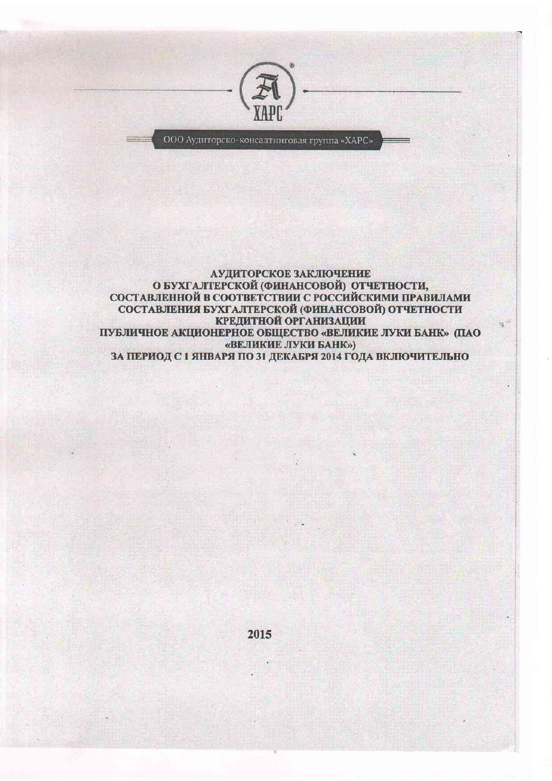

ООО Аудиторско-консалтинговая группа «ХАРС»

АУДИТОРСКОЕ ЗАКЛЮЧЕНИЕ О БУХГАЛТЕРСКОЙ (ФИНАНСОВОЙ) ОТЧЕТНОСТИ,<br>СОСТАВЛЕННОЙ В СООТВЕТСТВИИ С РОССИЙСКИМИ ПРАВИЛАМИ СОСТАВЛЕНИЯ БУХГАЛТЕРСКОЙ (ФИНАНСОВОЙ) ОТЧЕТНОСТИ КРЕДИТНОЙ ОРГАНИЗАЦИИ ПУБЛИЧНОЕ АКЦИОНЕРНОЕ ОБЩЕСТВО «ВЕЛИКИЕ ЛУКИ БАНК» (ПАО «ВЕЛИКИЕ ЛУКИ БАНК») ЗА ПЕРИОД С 1 ЯНВАРЯ ПО 31 ДЕКАБРЯ 2014 ГОДА ВКЛЮЧИТЕЛЬНО

2015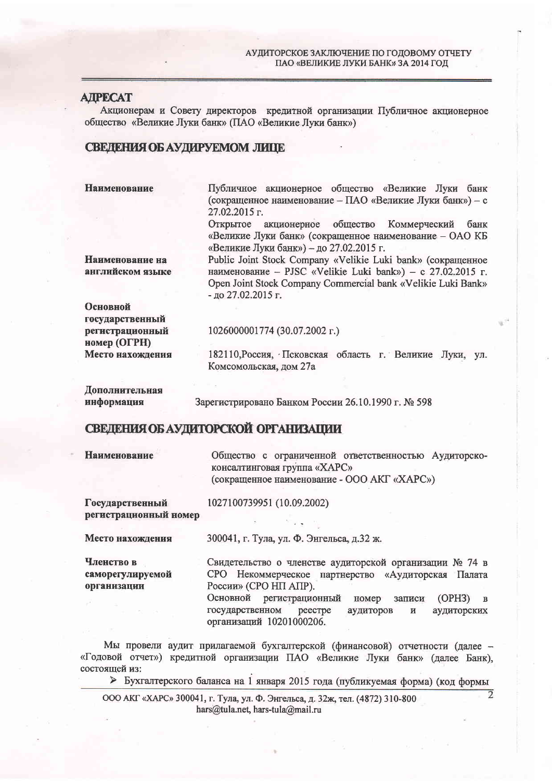# **ATPECAT**

Акционерам и Совету директоров кредитной организации Публичное акционерное общество «Великие Луки банк» (ПАО «Великие Луки банк»)

# СВЕДЕНИЯ ОБ АУДИРУЕМОМ ЛИШЕ

**Наименование** 

Публичное акционерное общество «Великие Луки банк (сокращенное наименование - ПАО «Великие Луки банк») - с 27.02.2015 г.

Открытое акционерное общество Коммерческий банк «Великие Луки банк» (сокращенное наименование - ОАО КБ «Великие Луки банк») - до 27.02.2015 г.

Наименование на английском языке Public Joint Stock Company «Velikie Luki bank» (сокращенное наименование - PJSC «Velikie Luki bank») - с 27.02.2015 г. Open Joint Stock Company Commercial bank «Velikie Luki Bank» - до 27.02.2015 г.

Основной государственный регистрационный номер (ОГРН) Место нахождения

1026000001774 (30.07.2002 г.)

182110, Россия, Псковская область г. Великие Луки, ул. Комсомольская, дом 27а

Дополнительная информация

Зарегистрировано Банком России 26.10.1990 г. № 598

# СВЕДЕНИЯ ОБ АУДИТОРСКОЙ ОРГАНИЗАЦИИ

**Наименование** 

Общество с ограниченной ответственностью Аудиторскоконсалтинговая группа «ХАРС» (сокращенное наименование - ООО АКГ «ХАРС»)

Государственный регистрационный номер

1027100739951 (10.09.2002)

Место нахождения

300041, г. Тула, ул. Ф. Энгельса, д.32 ж.

Членство в саморегулируемой организации

Свидетельство о членстве аудиторской организации № 74 в СРО Некоммерческое партнерство «Аудиторская Палата России» (СРО НП АПР).

Основной регистрационный номер записи  $(OPH3)$  B реестре государственном аудиторов  $\mathbf H$ аудиторских организаций 10201000206.

 $\overline{2}$ 

Мы провели аудит прилагаемой бухгалтерской (финансовой) отчетности (далее -«Годовой отчет») кредитной организации ПАО «Великие Луки банк» (далее Банк), состоящей из:

> Бухгалтерского баланса на 1 января 2015 года (публикуемая форма) (код формы

ООО АКГ «ХАРС» 300041, г. Тула, ул. Ф. Энгельса, д. 32ж, тел. (4872) 310-800 hars@tula.net, hars-tula@mail.ru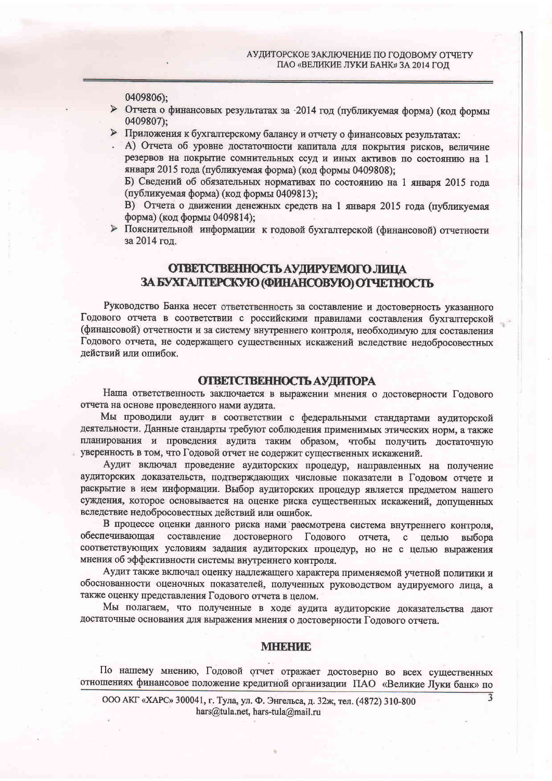0409806):

- > Отчета о финансовых результатах за -2014 год (публикуемая форма) (код формы 0409807);
- > Приложения к бухгалтерскому балансу и отчету о финансовых результатах:
- А) Отчета об уровне достаточности капитала для покрытия рисков, величине резервов на покрытие сомнительных ссуд и иных активов по состоянию на 1 января 2015 года (публикуемая форма) (код формы 0409808);
	- Б) Сведений об обязательных нормативах по состоянию на 1 января 2015 года (публикуемая форма) (код формы 0409813);
	- В) Отчета о движении денежных средств на 1 января 2015 года (публикуемая форма) (код формы 0409814);
- > Пояснительной информации к годовой бухгалтерской (финансовой) отчетности за 2014 год.

# ОТВЕТСТВЕННОСТЬ АУДИРУЕМОГО ЛИЦА ЗА БУХГАЛТЕРСКУЮ (ФИНАНСОВУЮ) ОТЧЕТНОСТЬ

Руководство Банка несет ответственность за составление и достоверность указанного Годового отчета в соответствии с российскими правилами составления бухгалтерской (финансовой) отчетности и за систему внутреннего контроля, необходимую для составления Годового отчета, не содержащего существенных искажений вследствие недобросовестных действий или ошибок.

## ОТВЕТСТВЕННОСТЬ АУДИТОРА

Наша ответственность заключается в выражении мнения о достоверности Годового отчета на основе проведенного нами аудита.

Мы проводили аудит в соответствии с федеральными стандартами аудиторской деятельности. Данные стандарты требуют соблюдения применимых этических норм, а также планирования и проведения аудита таким образом, чтобы получить достаточную уверенность в том, что Годовой отчет не содержит существенных искажений.

Аудит включал проведение аудиторских процедур, направленных на получение аудиторских доказательств, подтверждающих числовые показатели в Годовом отчете и раскрытие в нем информации. Выбор аудиторских процедур является предметом нашего суждения, которое основывается на оценке риска существенных искажений, допущенных вследствие недобросовестных действий или ошибок.

В процессе оценки данного риска нами рассмотрена система внутреннего контроля, обеспечивающая составление достоверного Годового отчета, с целью выбора соответствующих условиям задания аудиторских процедур, но не с целью выражения мнения об эффективности системы внутреннего контроля.

Аудит также включал оценку надлежащего характера применяемой учетной политики и обоснованности оценочных показателей, полученных руководством аудируемого лица, а также оценку представления Годового отчета в целом.

Мы полагаем, что полученные в ходе аудита аудиторские доказательства дают достаточные основания для выражения мнения о достоверности Годового отчета.

#### МЕНЕНИЕ

По нашему мнению, Годовой отчет отражает достоверно во всех существенных отношениях финансовое положение кредитной организации ПАО «Великие Луки банк» по

ООО АКГ «ХАРС» 300041, г. Тула, ул. Ф. Энгельса, д. 32ж, тел. (4872) 310-800 hars@tula.net, hars-tula@mail.ru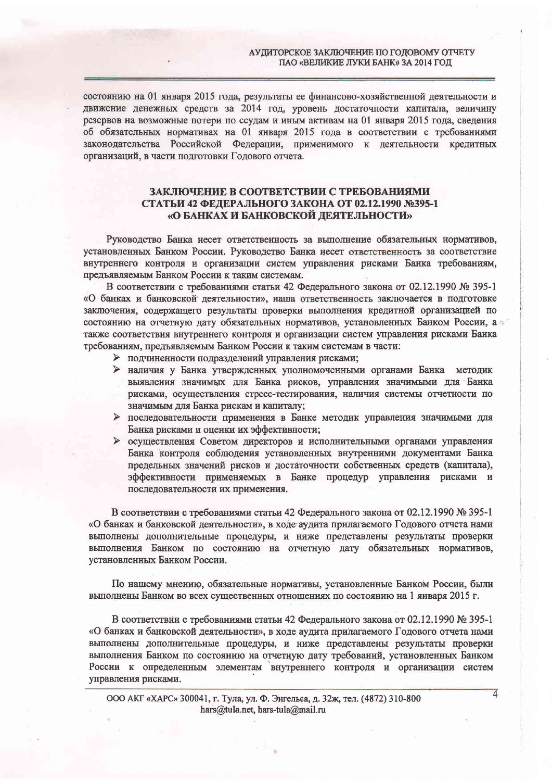состоянию на 01 января 2015 года, результаты ее финансово-хозяйственной деятельности и движение денежных средств за 2014 год, уровень достаточности капитала, величину резервов на возможные потери по ссудам и иным активам на 01 января 2015 года, сведения об обязательных нормативах на 01 января 2015 года в соответствии с требованиями законодательства Российской Федерации, применимого к деятельности кредитных организаций, в части подготовки Годового отчета.

### ЗАКЛЮЧЕНИЕ В СООТВЕТСТВИИ С ТРЕБОВАНИЯМИ СТАТЬИ 42 ФЕДЕРАЛЬНОГО ЗАКОНА ОТ 02.12.1990 №395-1 «О БАНКАХ И БАНКОВСКОЙ ДЕЯТЕЛЬНОСТИ»

Руководство Банка несет ответственность за выполнение обязательных нормативов, установленных Банком России. Руководство Банка несет ответственность за соответствие внутреннего контроля и организации систем управления рисками Банка требованиям, предъявляемым Банком России к таким системам.

В соответствии с требованиями статьи 42 Федерального закона от 02.12.1990 № 395-1 «О банках и банковской деятельности», наша ответственность заключается в подготовке заключения, содержащего результаты проверки выполнения кредитной организацией по состоянию на отчетную дату обязательных нормативов, установленных Банком России, а также соответствия внутреннего контроля и организации систем управления рисками Банка требованиям, предъявляемым Банком России к таким системам в части:

- > подчиненности подразделений управления рисками;
- > наличия у Банка утвержденных уполномоченными органами Банка методик выявления значимых для Банка рисков, управления значимыми для Банка рисками, осуществления стресс-тестирования, наличия системы отчетности по значимым для Банка рискам и капиталу;
- > последовательности применения в Банке методик управления значимыми для Банка рисками и оценки их эффективности;
- > осуществления Советом директоров и исполнительными органами управления Банка контроля соблюдения установленных внутренними документами Банка предельных значений рисков и достаточности собственных средств (капитала), эффективности применяемых в Банке процедур управления рисками и последовательности их применения.

В соответствии с требованиями статьи 42 Федерального закона от 02.12.1990 № 395-1 «О банках и банковской деятельности», в ходе аудита прилагаемого Годового отчета нами выполнены дополнительные процедуры, и ниже представлены результаты проверки выполнения Банком по состоянию на отчетную дату обязательных нормативов, установленных Банком России.

По нашему мнению, обязательные нормативы, установленные Банком России, были выполнены Банком во всех существенных отношениях по состоянию на 1 января 2015 г.

В соответствии с требованиями статьи 42 Федерального закона от 02.12.1990 № 395-1 «О банках и банковской деятельности», в ходе аудита прилагаемого Годового отчета нами выполнены дополнительные процедуры, и ниже представлены результаты проверки выполнения Банком по состоянию на отчетную дату требований, установленных Банком России к определенным элементам внутреннего контроля и организации систем управления рисками.

 $\overline{4}$